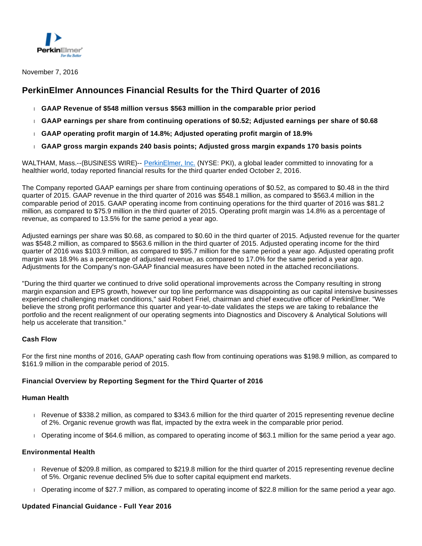

November 7, 2016

# **PerkinElmer Announces Financial Results for the Third Quarter of 2016**

- **GAAP Revenue of \$548 million versus \$563 million in the comparable prior period**
- **GAAP earnings per share from continuing operations of \$0.52; Adjusted earnings per share of \$0.68**
- **GAAP operating profit margin of 14.8%; Adjusted operating profit margin of 18.9%**
- **GAAP gross margin expands 240 basis points; Adjusted gross margin expands 170 basis points**

WALTHAM, Mass.--(BUSINESS WIRE)-- [PerkinElmer, Inc.](http://cts.businesswire.com/ct/CT?id=smartlink&url=http%3A%2F%2Fwww.perkinelmer.com&esheet=51455639&newsitemid=20161107006458&lan=en-US&anchor=PerkinElmer%2C+Inc.&index=1&md5=194e3576c0765dfaee3573420316f4fa) (NYSE: PKI), a global leader committed to innovating for a healthier world, today reported financial results for the third quarter ended October 2, 2016.

The Company reported GAAP earnings per share from continuing operations of \$0.52, as compared to \$0.48 in the third quarter of 2015. GAAP revenue in the third quarter of 2016 was \$548.1 million, as compared to \$563.4 million in the comparable period of 2015. GAAP operating income from continuing operations for the third quarter of 2016 was \$81.2 million, as compared to \$75.9 million in the third quarter of 2015. Operating profit margin was 14.8% as a percentage of revenue, as compared to 13.5% for the same period a year ago.

Adjusted earnings per share was \$0.68, as compared to \$0.60 in the third quarter of 2015. Adjusted revenue for the quarter was \$548.2 million, as compared to \$563.6 million in the third quarter of 2015. Adjusted operating income for the third quarter of 2016 was \$103.9 million, as compared to \$95.7 million for the same period a year ago. Adjusted operating profit margin was 18.9% as a percentage of adjusted revenue, as compared to 17.0% for the same period a year ago. Adjustments for the Company's non-GAAP financial measures have been noted in the attached reconciliations.

"During the third quarter we continued to drive solid operational improvements across the Company resulting in strong margin expansion and EPS growth, however our top line performance was disappointing as our capital intensive businesses experienced challenging market conditions," said Robert Friel, chairman and chief executive officer of PerkinElmer. "We believe the strong profit performance this quarter and year-to-date validates the steps we are taking to rebalance the portfolio and the recent realignment of our operating segments into Diagnostics and Discovery & Analytical Solutions will help us accelerate that transition."

## **Cash Flow**

For the first nine months of 2016, GAAP operating cash flow from continuing operations was \$198.9 million, as compared to \$161.9 million in the comparable period of 2015.

## **Financial Overview by Reporting Segment for the Third Quarter of 2016**

## **Human Health**

- Revenue of \$338.2 million, as compared to \$343.6 million for the third quarter of 2015 representing revenue decline of 2%. Organic revenue growth was flat, impacted by the extra week in the comparable prior period.
- Operating income of \$64.6 million, as compared to operating income of \$63.1 million for the same period a year ago.

#### **Environmental Health**

- Revenue of \$209.8 million, as compared to \$219.8 million for the third quarter of 2015 representing revenue decline of 5%. Organic revenue declined 5% due to softer capital equipment end markets.
- Operating income of \$27.7 million, as compared to operating income of \$22.8 million for the same period a year ago.

## **Updated Financial Guidance - Full Year 2016**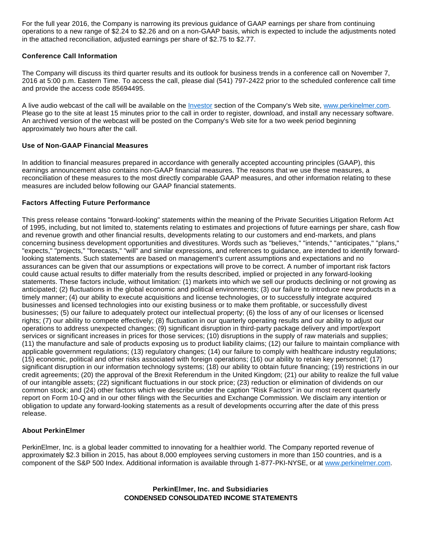For the full year 2016, the Company is narrowing its previous guidance of GAAP earnings per share from continuing operations to a new range of \$2.24 to \$2.26 and on a non-GAAP basis, which is expected to include the adjustments noted in the attached reconciliation, adjusted earnings per share of \$2.75 to \$2.77.

#### **Conference Call Information**

The Company will discuss its third quarter results and its outlook for business trends in a conference call on November 7, 2016 at 5:00 p.m. Eastern Time. To access the call, please dial (541) 797-2422 prior to the scheduled conference call time and provide the access code 85694495.

A live audio webcast of the call will be available on the *[Investor](http://cts.businesswire.com/ct/CT?id=smartlink&url=http%3A%2F%2Fwww.perkinelmer.com%2Fcorporate%2Finvestors%2F&esheet=51455639&newsitemid=20161107006458&lan=en-US&anchor=Investor&index=2&md5=f5eb25d8e71cf9af420f3711da520533)* section of the Company's Web site, [www.perkinelmer.com.](http://cts.businesswire.com/ct/CT?id=smartlink&url=http%3A%2F%2Fwww.perkinelmer.com&esheet=51455639&newsitemid=20161107006458&lan=en-US&anchor=www.perkinelmer.com&index=3&md5=07f33d3341efbccab1f0fc45fc2c22c0) Please go to the site at least 15 minutes prior to the call in order to register, download, and install any necessary software. An archived version of the webcast will be posted on the Company's Web site for a two week period beginning approximately two hours after the call.

#### **Use of Non-GAAP Financial Measures**

In addition to financial measures prepared in accordance with generally accepted accounting principles (GAAP), this earnings announcement also contains non-GAAP financial measures. The reasons that we use these measures, a reconciliation of these measures to the most directly comparable GAAP measures, and other information relating to these measures are included below following our GAAP financial statements.

#### **Factors Affecting Future Performance**

This press release contains "forward-looking" statements within the meaning of the Private Securities Litigation Reform Act of 1995, including, but not limited to, statements relating to estimates and projections of future earnings per share, cash flow and revenue growth and other financial results, developments relating to our customers and end-markets, and plans concerning business development opportunities and divestitures. Words such as "believes," "intends," "anticipates," "plans," "expects," "projects," "forecasts," "will" and similar expressions, and references to guidance, are intended to identify forwardlooking statements. Such statements are based on management's current assumptions and expectations and no assurances can be given that our assumptions or expectations will prove to be correct. A number of important risk factors could cause actual results to differ materially from the results described, implied or projected in any forward-looking statements. These factors include, without limitation: (1) markets into which we sell our products declining or not growing as anticipated; (2) fluctuations in the global economic and political environments; (3) our failure to introduce new products in a timely manner; (4) our ability to execute acquisitions and license technologies, or to successfully integrate acquired businesses and licensed technologies into our existing business or to make them profitable, or successfully divest businesses; (5) our failure to adequately protect our intellectual property; (6) the loss of any of our licenses or licensed rights; (7) our ability to compete effectively; (8) fluctuation in our quarterly operating results and our ability to adjust our operations to address unexpected changes; (9) significant disruption in third-party package delivery and import/export services or significant increases in prices for those services; (10) disruptions in the supply of raw materials and supplies; (11) the manufacture and sale of products exposing us to product liability claims; (12) our failure to maintain compliance with applicable government regulations; (13) regulatory changes; (14) our failure to comply with healthcare industry regulations; (15) economic, political and other risks associated with foreign operations; (16) our ability to retain key personnel; (17) significant disruption in our information technology systems; (18) our ability to obtain future financing; (19) restrictions in our credit agreements; (20) the approval of the Brexit Referendum in the United Kingdom; (21) our ability to realize the full value of our intangible assets; (22) significant fluctuations in our stock price; (23) reduction or elimination of dividends on our common stock; and (24) other factors which we describe under the caption "Risk Factors" in our most recent quarterly report on Form 10-Q and in our other filings with the Securities and Exchange Commission. We disclaim any intention or obligation to update any forward-looking statements as a result of developments occurring after the date of this press release.

#### **About PerkinElmer**

PerkinElmer, Inc. is a global leader committed to innovating for a healthier world. The Company reported revenue of approximately \$2.3 billion in 2015, has about 8,000 employees serving customers in more than 150 countries, and is a component of the S&P 500 Index. Additional information is available through 1-877-PKI-NYSE, or at [www.perkinelmer.com.](http://cts.businesswire.com/ct/CT?id=smartlink&url=http%3A%2F%2Fwww.perkinelmer.com&esheet=51455639&newsitemid=20161107006458&lan=en-US&anchor=www.perkinelmer.com&index=4&md5=6474a9f44827038ea27669434f38a2b4)

#### **PerkinElmer, Inc. and Subsidiaries CONDENSED CONSOLIDATED INCOME STATEMENTS**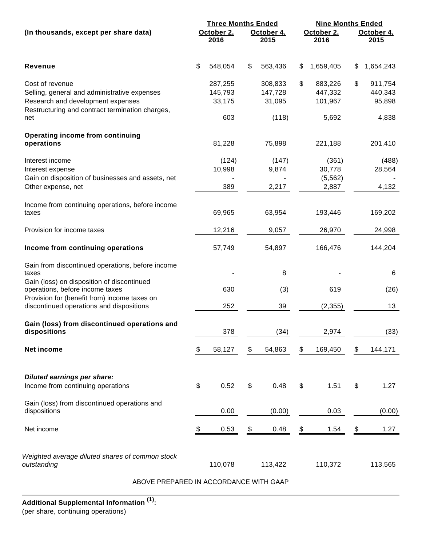|                                                                                          |               | <b>Three Months Ended</b> |               |                          | <b>Nine Months Ended</b> |               |            |
|------------------------------------------------------------------------------------------|---------------|---------------------------|---------------|--------------------------|--------------------------|---------------|------------|
| (In thousands, except per share data)                                                    |               | October 2,                | October 4,    |                          | October 2,               |               | October 4, |
|                                                                                          |               | 2016                      | 2015          |                          | 2016                     |               | 2015       |
| Revenue                                                                                  | \$            | 548,054                   | \$<br>563,436 | \$                       | 1,659,405                | \$            | 1,654,243  |
| Cost of revenue                                                                          |               | 287,255                   | 308,833       | \$                       | 883,226                  | \$            | 911,754    |
| Selling, general and administrative expenses                                             |               | 145,793                   | 147,728       |                          | 447,332                  |               | 440,343    |
| Research and development expenses<br>Restructuring and contract termination charges,     |               | 33,175                    | 31,095        |                          | 101,967                  |               | 95,898     |
| net                                                                                      |               | 603                       | (118)         |                          | 5,692                    |               | 4,838      |
|                                                                                          |               |                           |               |                          |                          |               |            |
| <b>Operating income from continuing</b><br>operations                                    |               | 81,228                    | 75,898        |                          | 221,188                  |               | 201,410    |
| Interest income                                                                          |               | (124)                     | (147)         |                          | (361)                    |               | (488)      |
| Interest expense                                                                         |               | 10,998                    | 9,874         |                          | 30,778                   |               | 28,564     |
| Gain on disposition of businesses and assets, net                                        |               |                           |               |                          | (5, 562)                 |               |            |
| Other expense, net                                                                       |               | 389                       | 2,217         |                          | 2,887                    |               | 4,132      |
| Income from continuing operations, before income                                         |               |                           |               |                          |                          |               |            |
| taxes                                                                                    |               | 69,965                    | 63,954        |                          | 193,446                  |               | 169,202    |
| Provision for income taxes                                                               |               | 12,216                    | 9,057         |                          | 26,970                   |               | 24,998     |
| Income from continuing operations                                                        |               | 57,749                    | 54,897        |                          | 166,476                  |               | 144,204    |
| Gain from discontinued operations, before income<br>taxes                                |               |                           | 8             |                          |                          |               | 6          |
| Gain (loss) on disposition of discontinued                                               |               |                           |               |                          |                          |               |            |
| operations, before income taxes                                                          |               | 630                       | (3)           |                          | 619                      |               | (26)       |
| Provision for (benefit from) income taxes on<br>discontinued operations and dispositions |               | 252                       | 39            |                          | (2, 355)                 |               | 13         |
|                                                                                          |               |                           |               |                          |                          |               |            |
| Gain (loss) from discontinued operations and<br>dispositions                             |               | 378                       | (34)          |                          | 2,974                    |               | (33)       |
| <b>Net income</b>                                                                        | S             | 58,127                    | \$<br>54,863  | \$                       | 169,450                  | \$            | 144,171    |
|                                                                                          |               |                           |               |                          |                          |               |            |
| <b>Diluted earnings per share:</b>                                                       |               |                           |               |                          |                          |               |            |
| Income from continuing operations                                                        | \$            | 0.52                      | \$<br>0.48    | \$                       | 1.51                     | \$            | 1.27       |
|                                                                                          |               |                           |               |                          |                          |               |            |
| Gain (loss) from discontinued operations and<br>dispositions                             |               | 0.00                      | (0.00)        |                          | 0.03                     |               | (0.00)     |
|                                                                                          |               |                           |               |                          |                          |               |            |
| Net income                                                                               | $\frac{1}{2}$ | 0.53                      | \$<br>0.48    | $\overline{\mathcal{F}}$ | 1.54                     | $\frac{1}{2}$ | 1.27       |
|                                                                                          |               |                           |               |                          |                          |               |            |
| Weighted average diluted shares of common stock                                          |               |                           |               |                          |                          |               |            |
| outstanding                                                                              |               | 110,078                   | 113,422       |                          | 110,372                  |               | 113,565    |
| ABOVE PREPARED IN ACCORDANCE WITH GAAP                                                   |               |                           |               |                          |                          |               |            |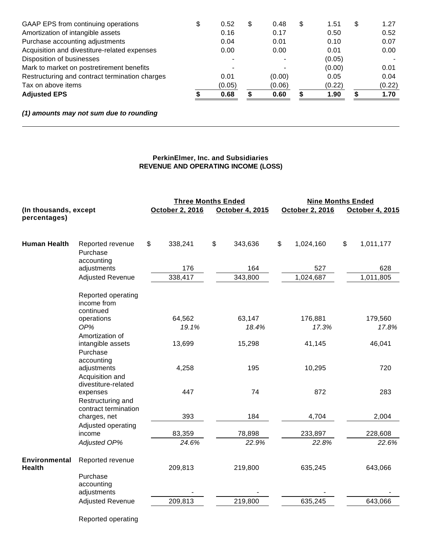| GAAP EPS from continuing operations            | 0.52   | S | 0.48   | S | 1.51   | \$ | 1.27   |
|------------------------------------------------|--------|---|--------|---|--------|----|--------|
| Amortization of intangible assets              | 0.16   |   | 0.17   |   | 0.50   |    | 0.52   |
| Purchase accounting adjustments                | 0.04   |   | 0.01   |   | 0.10   |    | 0.07   |
| Acquisition and divestiture-related expenses   | 0.00   |   | 0.00   |   | 0.01   |    | 0.00   |
| Disposition of businesses                      |        |   |        |   | (0.05) |    |        |
| Mark to market on postretirement benefits      |        |   |        |   | (0.00) |    | 0.01   |
| Restructuring and contract termination charges | 0.01   |   | (0.00) |   | 0.05   |    | 0.04   |
| Tax on above items                             | (0.05) |   | (0.06) |   | (0.22) |    | (0.22) |
| <b>Adjusted EPS</b>                            | 0.68   |   | 0.60   |   | 1.90   | œ  | 1.70   |
|                                                |        |   |        |   |        |    |        |

**(1) amounts may not sum due to rounding**

# **PerkinElmer, Inc. and Subsidiaries REVENUE AND OPERATING INCOME (LOSS)**

| (In thousands, except<br>percentages) |                                                                              | <b>Three Months Ended</b><br>October 2, 2016 | October 4, 2015 |       | <b>Nine Months Ended</b><br>October 2, 2016 |                           | October 4, 2015 |
|---------------------------------------|------------------------------------------------------------------------------|----------------------------------------------|-----------------|-------|---------------------------------------------|---------------------------|-----------------|
| <b>Human Health</b>                   | Reported revenue<br>Purchase                                                 | \$<br>338,241                                | \$<br>343,636   | $\$\$ | 1,024,160                                   | $\boldsymbol{\mathsf{S}}$ | 1,011,177       |
|                                       | accounting<br>adjustments                                                    | 176                                          | 164             |       | 527                                         |                           | 628             |
|                                       | <b>Adjusted Revenue</b>                                                      | 338,417                                      | 343,800         |       | 1,024,687                                   |                           | 1,011,805       |
|                                       | Reported operating<br>income from<br>continued                               |                                              |                 |       |                                             |                           |                 |
|                                       | operations                                                                   | 64,562                                       | 63,147          |       | 176,881                                     |                           | 179,560         |
|                                       | OP%                                                                          | 19.1%                                        | 18.4%           |       | 17.3%                                       |                           | 17.8%           |
|                                       | Amortization of<br>intangible assets<br>Purchase                             | 13,699                                       | 15,298          |       | 41,145                                      |                           | 46,041          |
|                                       | accounting<br>adjustments<br>Acquisition and                                 | 4,258                                        | 195             |       | 10,295                                      |                           | 720             |
|                                       | divestiture-related<br>expenses<br>Restructuring and<br>contract termination | 447                                          | 74              |       | 872                                         |                           | 283             |
|                                       | charges, net                                                                 | 393                                          | 184             |       | 4,704                                       |                           | 2,004           |
|                                       | Adjusted operating<br>income                                                 | 83,359                                       | 78,898          |       | 233,897                                     |                           | 228,608         |
|                                       | <b>Adjusted OP%</b>                                                          | 24.6%                                        | 22.9%           |       | 22.8%                                       |                           | 22.6%           |
| <b>Environmental</b><br><b>Health</b> | Reported revenue<br>Purchase                                                 | 209,813                                      | 219,800         |       | 635,245                                     |                           | 643,066         |
|                                       | accounting<br>adjustments                                                    |                                              |                 |       |                                             |                           |                 |
|                                       | <b>Adjusted Revenue</b>                                                      | 209,813                                      | 219,800         |       | 635,245                                     |                           | 643,066         |
|                                       |                                                                              |                                              |                 |       |                                             |                           |                 |

Reported operating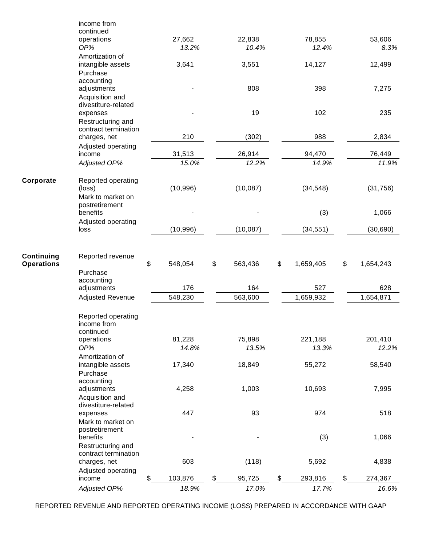|                   | income from                          |                           |           |               |                 |                 |
|-------------------|--------------------------------------|---------------------------|-----------|---------------|-----------------|-----------------|
|                   | continued                            |                           |           |               |                 |                 |
|                   | operations                           |                           | 27,662    | 22,838        | 78,855          | 53,606          |
|                   | OP%                                  |                           | 13.2%     | 10.4%         | 12.4%           | 8.3%            |
|                   | Amortization of<br>intangible assets |                           | 3,641     | 3,551         | 14,127          | 12,499          |
|                   | Purchase                             |                           |           |               |                 |                 |
|                   | accounting                           |                           |           |               |                 |                 |
|                   | adjustments                          |                           |           | 808           | 398             | 7,275           |
|                   | Acquisition and                      |                           |           |               |                 |                 |
|                   | divestiture-related                  |                           |           |               |                 |                 |
|                   | expenses                             |                           |           | 19            | 102             | 235             |
|                   | Restructuring and                    |                           |           |               |                 |                 |
|                   | contract termination                 |                           |           |               |                 |                 |
|                   | charges, net                         |                           | 210       | (302)         | 988             | 2,834           |
|                   | Adjusted operating                   |                           |           |               |                 |                 |
|                   | income                               |                           | 31,513    | 26,914        | 94,470          | 76,449          |
|                   | <b>Adjusted OP%</b>                  |                           | 15.0%     | 12.2%         | 14.9%           | 11.9%           |
|                   |                                      |                           |           |               |                 |                 |
| Corporate         | Reported operating                   |                           |           |               |                 |                 |
|                   | (loss)                               |                           | (10, 996) | (10,087)      | (34, 548)       | (31, 756)       |
|                   | Mark to market on<br>postretirement  |                           |           |               |                 |                 |
|                   | benefits                             |                           |           |               | (3)             | 1,066           |
|                   | Adjusted operating                   |                           |           |               |                 |                 |
|                   | loss                                 |                           | (10, 996) | (10,087)      | (34, 551)       | (30, 690)       |
|                   |                                      |                           |           |               |                 |                 |
|                   |                                      |                           |           |               |                 |                 |
| Continuing        | Reported revenue                     |                           |           |               |                 |                 |
| <b>Operations</b> |                                      | $\boldsymbol{\mathsf{S}}$ | 548,054   | \$<br>563,436 | \$<br>1,659,405 | \$<br>1,654,243 |
|                   | Purchase<br>accounting               |                           |           |               |                 |                 |
|                   | adjustments                          |                           | 176       | 164           | 527             | 628             |
|                   | <b>Adjusted Revenue</b>              |                           | 548,230   | 563,600       | 1,659,932       | 1,654,871       |
|                   |                                      |                           |           |               |                 |                 |
|                   | Reported operating                   |                           |           |               |                 |                 |
|                   | income from                          |                           |           |               |                 |                 |
|                   | continued                            |                           |           |               |                 |                 |
|                   | operations                           |                           | 81,228    | 75,898        | 221,188         | 201,410         |
|                   | OP%                                  |                           | 14.8%     | 13.5%         | 13.3%           | 12.2%           |
|                   | Amortization of                      |                           |           |               |                 |                 |
|                   | intangible assets                    |                           | 17,340    | 18,849        | 55,272          | 58,540          |
|                   | Purchase                             |                           |           |               |                 |                 |
|                   | accounting                           |                           |           |               |                 |                 |
|                   | adjustments                          |                           | 4,258     | 1,003         | 10,693          | 7,995           |
|                   | Acquisition and                      |                           |           |               |                 |                 |
|                   | divestiture-related                  |                           |           |               |                 |                 |
|                   | expenses                             |                           | 447       | 93            | 974             | 518             |
|                   | Mark to market on                    |                           |           |               |                 |                 |
|                   | postretirement<br>benefits           |                           |           |               |                 |                 |
|                   | Restructuring and                    |                           |           |               | (3)             | 1,066           |
|                   | contract termination                 |                           |           |               |                 |                 |
|                   | charges, net                         |                           | 603       | (118)         | 5,692           | 4,838           |
|                   | Adjusted operating                   |                           |           |               |                 |                 |
|                   | income                               | \$                        | 103,876   | \$<br>95,725  | \$<br>293,816   | \$<br>274,367   |
|                   | Adjusted OP%                         |                           | 18.9%     | 17.0%         | 17.7%           | 16.6%           |
|                   |                                      |                           |           |               |                 |                 |

REPORTED REVENUE AND REPORTED OPERATING INCOME (LOSS) PREPARED IN ACCORDANCE WITH GAAP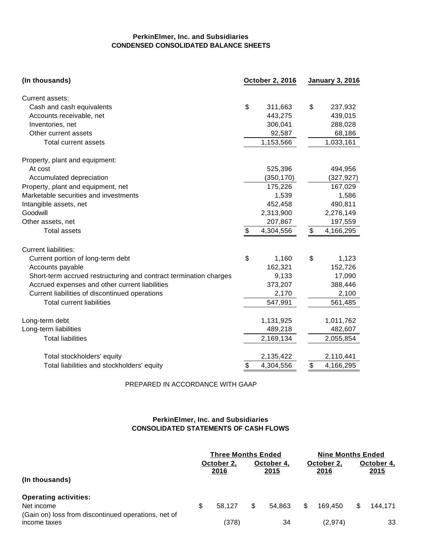# **PerkinElmer, Inc. and Subsidiaries CONDENSED CONSOLIDATED BALANCE SHEETS**

| (In thousands)                                                    | October 2, 2016 | <b>January 3, 2016</b> |
|-------------------------------------------------------------------|-----------------|------------------------|
| Current assets:                                                   |                 |                        |
| Cash and cash equivalents                                         | \$<br>311,663   | \$<br>237,932          |
| Accounts receivable, net                                          | 443,275         | 439,015                |
| Inventories, net                                                  | 306,041         | 288,028                |
| Other current assets                                              | 92,587          | 68,186                 |
| Total current assets                                              | 1,153,566       | 1,033,161              |
| Property, plant and equipment:                                    |                 |                        |
| At cost                                                           | 525,396         | 494,956                |
| Accumulated depreciation                                          | (350, 170)      | (327, 927)             |
| Property, plant and equipment, net                                | 175,226         | 167,029                |
| Marketable securities and investments                             | 1,539           | 1,586                  |
| Intangible assets, net                                            | 452,458         | 490,811                |
| Goodwill                                                          | 2,313,900       | 2,276,149              |
| Other assets, net                                                 | 207,867         | 197,559                |
| <b>Total assets</b>                                               | \$<br>4,304,556 | \$<br>4,166,295        |
| <b>Current liabilities:</b>                                       |                 |                        |
| Current portion of long-term debt                                 | \$<br>1,160     | \$<br>1,123            |
| Accounts payable                                                  | 162,321         | 152,726                |
| Short-term accrued restructuring and contract termination charges | 9,133           | 17,090                 |
| Accrued expenses and other current liabilities                    | 373,207         | 388,446                |
| Current liabilities of discontinued operations                    | 2,170           | 2,100                  |
| <b>Total current liabilities</b>                                  | 547,991         | 561,485                |
| Long-term debt                                                    | 1,131,925       | 1,011,762              |
| Long-term liabilities                                             | 489,218         | 482,607                |
| <b>Total liabilities</b>                                          | 2,169,134       | 2,055,854              |
| Total stockholders' equity                                        | 2,135,422       | 2,110,441              |
| Total liabilities and stockholders' equity                        | \$<br>4,304,556 | \$<br>4,166,295        |

PREPARED IN ACCORDANCE WITH GAAP

# **PerkinElmer, Inc. and Subsidiaries CONSOLIDATED STATEMENTS OF CASH FLOWS**

|                                                                     | <b>Three Months Ended</b> |                    |    |                            | <b>Nine Months Ended</b> |                            |     |                    |
|---------------------------------------------------------------------|---------------------------|--------------------|----|----------------------------|--------------------------|----------------------------|-----|--------------------|
| (In thousands)                                                      |                           | October 2.<br>2016 |    | October 4.<br><u> 2015</u> |                          | October 2.<br><u> 2016</u> |     | October 4,<br>2015 |
| <b>Operating activities:</b><br>Net income                          | \$.                       | 58.127             | \$ | 54.863                     | \$                       | 169.450                    | \$. | 144.171            |
| (Gain on) loss from discontinued operations, net of<br>income taxes |                           | (378)              |    | 34                         |                          | (2.974)                    |     | 33                 |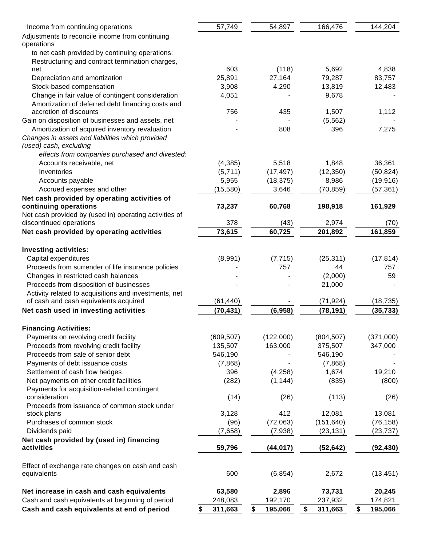| Income from continuing operations                               | 57,749     | 54,897        | 166,476       | 144,204       |
|-----------------------------------------------------------------|------------|---------------|---------------|---------------|
| Adjustments to reconcile income from continuing                 |            |               |               |               |
| operations                                                      |            |               |               |               |
| to net cash provided by continuing operations:                  |            |               |               |               |
| Restructuring and contract termination charges,                 |            |               |               |               |
| net                                                             | 603        | (118)         | 5,692         | 4,838         |
| Depreciation and amortization                                   | 25,891     | 27,164        | 79,287        | 83,757        |
| Stock-based compensation                                        | 3,908      | 4,290         | 13,819        | 12,483        |
| Change in fair value of contingent consideration                | 4,051      |               | 9,678         |               |
| Amortization of deferred debt financing costs and               |            |               |               |               |
| accretion of discounts                                          | 756        | 435           | 1,507         | 1,112         |
| Gain on disposition of businesses and assets, net               |            |               | (5, 562)      |               |
| Amortization of acquired inventory revaluation                  |            | 808           | 396           | 7,275         |
| Changes in assets and liabilities which provided                |            |               |               |               |
| (used) cash, excluding                                          |            |               |               |               |
| effects from companies purchased and divested:                  |            |               |               |               |
| Accounts receivable, net                                        | (4, 385)   | 5,518         | 1,848         | 36,361        |
| Inventories                                                     | (5,711)    | (17, 497)     | (12, 350)     | (50, 824)     |
| Accounts payable                                                | 5,955      | (18, 375)     | 8,986         | (19, 916)     |
| Accrued expenses and other                                      | (15, 580)  | 3,646         | (70, 859)     | (57, 361)     |
| Net cash provided by operating activities of                    |            |               |               |               |
| continuing operations                                           | 73,237     | 60,768        | 198,918       | 161,929       |
| Net cash provided by (used in) operating activities of          |            |               |               |               |
| discontinued operations                                         | 378        | (43)          | 2,974         | (70)          |
| Net cash provided by operating activities                       | 73,615     | 60,725        | 201,892       | 161,859       |
| <b>Investing activities:</b>                                    |            |               |               |               |
| Capital expenditures                                            | (8,991)    | (7, 715)      | (25, 311)     | (17, 814)     |
| Proceeds from surrender of life insurance policies              |            | 757           | 44            | 757           |
| Changes in restricted cash balances                             |            |               | (2,000)       | 59            |
| Proceeds from disposition of businesses                         |            |               | 21,000        |               |
| Activity related to acquisitions and investments, net           |            |               |               |               |
| of cash and cash equivalents acquired                           | (61, 440)  |               | (71, 924)     | (18, 735)     |
| Net cash used in investing activities                           | (70, 431)  | (6,958)       | (78, 191)     | (35, 733)     |
|                                                                 |            |               |               |               |
| <b>Financing Activities:</b>                                    |            |               |               |               |
| Payments on revolving credit facility                           | (609, 507) | (122,000)     | (804, 507)    | (371,000)     |
| Proceeds from revolving credit facility                         | 135,507    | 163,000       | 375,507       | 347,000       |
| Proceeds from sale of senior debt                               | 546,190    |               | 546,190       |               |
| Payments of debt issuance costs                                 | (7,868)    |               | (7,868)       |               |
| Settlement of cash flow hedges                                  | 396        | (4, 258)      | 1,674         | 19,210        |
| Net payments on other credit facilities                         | (282)      | (1, 144)      | (835)         | (800)         |
| Payments for acquisition-related contingent                     |            |               |               |               |
| consideration                                                   | (14)       | (26)          | (113)         | (26)          |
| Proceeds from issuance of common stock under                    |            |               |               |               |
| stock plans                                                     | 3,128      | 412           | 12,081        | 13,081        |
| Purchases of common stock                                       | (96)       | (72,063)      | (151, 640)    | (76, 158)     |
| Dividends paid                                                  | (7,658)    | (7,938)       | (23, 131)     | (23, 737)     |
| Net cash provided by (used in) financing                        |            |               |               |               |
| activities                                                      | 59,796     | (44, 017)     | (52, 642)     | (92, 430)     |
|                                                                 |            |               |               |               |
| Effect of exchange rate changes on cash and cash<br>equivalents | 600        | (6, 854)      | 2,672         | (13, 451)     |
|                                                                 |            |               |               |               |
| Net increase in cash and cash equivalents                       | 63,580     | 2,896         | 73,731        | 20,245        |
| Cash and cash equivalents at beginning of period                | 248,083    | 192,170       | 237,932       | 174,821       |
| Cash and cash equivalents at end of period                      | 311,663    | \$<br>195,066 | \$<br>311,663 | \$<br>195,066 |
|                                                                 | \$         |               |               |               |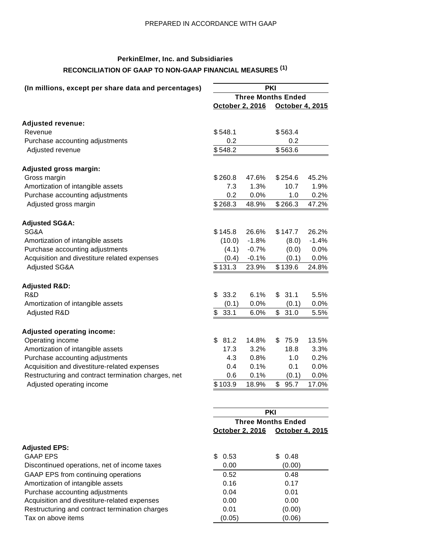# **PerkinElmer, Inc. and Subsidiaries RECONCILIATION OF GAAP TO NON-GAAP FINANCIAL MEASURES (1)**

| (In millions, except per share data and percentages)                 |                 |         | <b>PKI</b>                |         |
|----------------------------------------------------------------------|-----------------|---------|---------------------------|---------|
|                                                                      |                 |         | <b>Three Months Ended</b> |         |
|                                                                      | October 2, 2016 |         | October 4, 2015           |         |
| <b>Adjusted revenue:</b>                                             |                 |         |                           |         |
| Revenue                                                              | \$548.1         |         | \$563.4                   |         |
| Purchase accounting adjustments                                      | 0.2             |         | 0.2                       |         |
| Adjusted revenue                                                     | \$548.2         |         | \$563.6                   |         |
| <b>Adjusted gross margin:</b>                                        |                 |         |                           |         |
| Gross margin                                                         | \$260.8         | 47.6%   | \$254.6                   | 45.2%   |
| Amortization of intangible assets                                    | 7.3             | 1.3%    | 10.7                      | 1.9%    |
| Purchase accounting adjustments                                      | 0.2             | 0.0%    | 1.0                       | 0.2%    |
| Adjusted gross margin                                                | \$268.3         | 48.9%   | \$266.3                   | 47.2%   |
| <b>Adjusted SG&amp;A:</b>                                            |                 |         |                           |         |
| SG&A                                                                 | \$145.8         | 26.6%   | \$147.7                   | 26.2%   |
| Amortization of intangible assets                                    | (10.0)          | $-1.8%$ | (8.0)                     | $-1.4%$ |
| Purchase accounting adjustments                                      | (4.1)           | $-0.7%$ | (0.0)                     | 0.0%    |
| Acquisition and divestiture related expenses                         | (0.4)           | $-0.1%$ | (0.1)                     | 0.0%    |
| Adjusted SG&A                                                        | \$131.3         | 23.9%   | \$139.6                   | 24.8%   |
| <b>Adjusted R&amp;D:</b>                                             |                 |         |                           |         |
| R&D                                                                  | 33.2<br>\$      | 6.1%    | \$31.1                    | 5.5%    |
| Amortization of intangible assets                                    | (0.1)           | 0.0%    | (0.1)                     | 0.0%    |
| Adjusted R&D                                                         | \$<br>33.1      | 6.0%    | \$<br>31.0                | 5.5%    |
| <b>Adjusted operating income:</b>                                    |                 |         |                           |         |
| Operating income                                                     | \$81.2          | 14.8%   | \$<br>75.9                | 13.5%   |
| Amortization of intangible assets                                    | 17.3            | 3.2%    | 18.8                      | 3.3%    |
| Purchase accounting adjustments                                      | 4.3             | 0.8%    | 1.0                       | 0.2%    |
| Acquisition and divestiture-related expenses                         | 0.4             | 0.1%    | 0.1                       | 0.0%    |
| Restructuring and contract termination charges, net                  | 0.6             | 0.1%    | (0.1)                     | 0.0%    |
| Adjusted operating income                                            | \$103.9         | 18.9%   | \$95.7                    | 17.0%   |
|                                                                      |                 |         |                           |         |
|                                                                      |                 |         | <b>PKI</b>                |         |
|                                                                      |                 |         | <b>Three Months Ended</b> |         |
|                                                                      | October 2, 2016 |         | October 4, 2015           |         |
| <b>Adjusted EPS:</b>                                                 |                 |         |                           |         |
| <b>GAAP EPS</b>                                                      | \$0.53<br>0.00  |         | \$0.48                    |         |
| Discontinued operations, net of income taxes                         |                 |         | (0.00)                    |         |
| GAAP EPS from continuing operations                                  | 0.52            |         | 0.48                      |         |
| Amortization of intangible assets                                    | 0.16            |         | 0.17                      |         |
| Purchase accounting adjustments                                      | 0.04<br>0.00    |         | 0.01<br>0.00              |         |
| Acquisition and divestiture-related expenses                         |                 |         |                           |         |
| Restructuring and contract termination charges<br>Tax on above items | 0.01<br>(0.05)  |         | (0.00)<br>(0.06)          |         |
|                                                                      |                 |         |                           |         |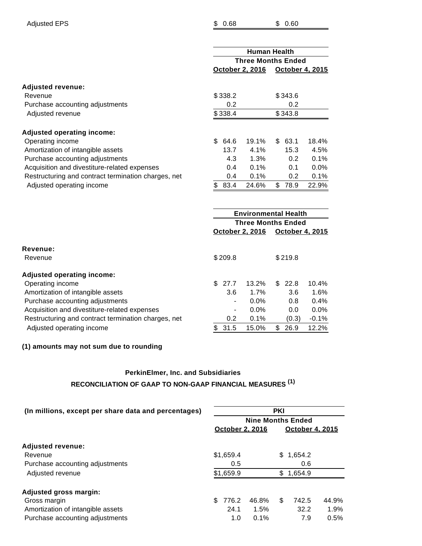| <b>Adjusted EPS</b>                                                                                                                                                                                                                                                                                                                                                         | 0.68<br>\$                         | \$0.60                                                                                                                                                                                                                                                                                                                              |
|-----------------------------------------------------------------------------------------------------------------------------------------------------------------------------------------------------------------------------------------------------------------------------------------------------------------------------------------------------------------------------|------------------------------------|-------------------------------------------------------------------------------------------------------------------------------------------------------------------------------------------------------------------------------------------------------------------------------------------------------------------------------------|
| <b>Adjusted revenue:</b><br>Revenue<br>Purchase accounting adjustments<br>Adjusted revenue<br><b>Adjusted operating income:</b><br>\$<br>Operating income<br>Amortization of intangible assets<br>Purchase accounting adjustments<br>Acquisition and divestiture-related expenses<br>Restructuring and contract termination charges, net<br>\$<br>Adjusted operating income |                                    |                                                                                                                                                                                                                                                                                                                                     |
|                                                                                                                                                                                                                                                                                                                                                                             |                                    |                                                                                                                                                                                                                                                                                                                                     |
|                                                                                                                                                                                                                                                                                                                                                                             |                                    |                                                                                                                                                                                                                                                                                                                                     |
|                                                                                                                                                                                                                                                                                                                                                                             |                                    | <b>Human Health</b><br><b>Three Months Ended</b><br>October 4, 2015<br>\$343.6<br>0.2<br>\$343.8<br>\$63.1<br>19.1%<br>4.1%<br>15.3<br>4.5%<br>1.3%<br>0.2 <sub>0</sub><br>0.1%<br>0.1%<br>0.0%<br>0.1<br>0.1%<br>0.1%<br>0.2<br>24.6%<br>\$<br>78.9<br><b>Environmental Health</b><br><b>Three Months Ended</b><br>October 4, 2015 |
|                                                                                                                                                                                                                                                                                                                                                                             |                                    |                                                                                                                                                                                                                                                                                                                                     |
|                                                                                                                                                                                                                                                                                                                                                                             | \$338.2                            |                                                                                                                                                                                                                                                                                                                                     |
|                                                                                                                                                                                                                                                                                                                                                                             | 0.2                                |                                                                                                                                                                                                                                                                                                                                     |
|                                                                                                                                                                                                                                                                                                                                                                             | \$338.4                            |                                                                                                                                                                                                                                                                                                                                     |
|                                                                                                                                                                                                                                                                                                                                                                             |                                    |                                                                                                                                                                                                                                                                                                                                     |
|                                                                                                                                                                                                                                                                                                                                                                             | 64.6                               | 18.4%                                                                                                                                                                                                                                                                                                                               |
|                                                                                                                                                                                                                                                                                                                                                                             | 13.7                               |                                                                                                                                                                                                                                                                                                                                     |
|                                                                                                                                                                                                                                                                                                                                                                             | 4.3                                |                                                                                                                                                                                                                                                                                                                                     |
|                                                                                                                                                                                                                                                                                                                                                                             | $0.4^{\circ}$                      |                                                                                                                                                                                                                                                                                                                                     |
|                                                                                                                                                                                                                                                                                                                                                                             | 0.4                                |                                                                                                                                                                                                                                                                                                                                     |
|                                                                                                                                                                                                                                                                                                                                                                             | 83.4                               | 22.9%                                                                                                                                                                                                                                                                                                                               |
|                                                                                                                                                                                                                                                                                                                                                                             | October 2, 2016<br>October 2, 2016 |                                                                                                                                                                                                                                                                                                                                     |
|                                                                                                                                                                                                                                                                                                                                                                             |                                    |                                                                                                                                                                                                                                                                                                                                     |
|                                                                                                                                                                                                                                                                                                                                                                             |                                    |                                                                                                                                                                                                                                                                                                                                     |
|                                                                                                                                                                                                                                                                                                                                                                             |                                    |                                                                                                                                                                                                                                                                                                                                     |

| Revenue:                                            |     |                |         |     |         |          |
|-----------------------------------------------------|-----|----------------|---------|-----|---------|----------|
| Revenue                                             |     | \$209.8        |         |     | \$219.8 |          |
| <b>Adjusted operating income:</b>                   |     |                |         |     |         |          |
| Operating income                                    | \$. | -27.7          | 13.2%   |     | \$22.8  | 10.4%    |
| Amortization of intangible assets                   |     | 3.6            | 1.7%    |     | 3.6     | 1.6%     |
| Purchase accounting adjustments                     |     | $\blacksquare$ | $0.0\%$ |     | 0.8     | 0.4%     |
| Acquisition and divestiture-related expenses        |     | $\blacksquare$ | $0.0\%$ |     | 0.0     | $0.0\%$  |
| Restructuring and contract termination charges, net |     | 0.2            | $0.1\%$ |     | (0.3)   | $-0.1\%$ |
| Adjusted operating income                           | \$. | 31.5           | 15.0%   | \$. | 26.9    | 12.2%    |

# **(1) amounts may not sum due to rounding**

# **PerkinElmer, Inc. and Subsidiaries**

# **RECONCILIATION OF GAAP TO NON-GAAP FINANCIAL MEASURES (1)**

| (In millions, except per share data and percentages) |                 | <b>PKI</b>               |       |
|------------------------------------------------------|-----------------|--------------------------|-------|
|                                                      |                 | <b>Nine Months Ended</b> |       |
|                                                      | October 2, 2016 | <b>October 4, 2015</b>   |       |
| <b>Adjusted revenue:</b>                             |                 |                          |       |
| Revenue                                              | \$1,659.4       | \$1.654.2                |       |
| Purchase accounting adjustments                      | 0.5             | 0.6                      |       |
| Adjusted revenue                                     | \$1,659.9       | \$1,654.9                |       |
| Adjusted gross margin:                               |                 |                          |       |
| Gross margin                                         | 776.2<br>\$.    | \$<br>46.8%<br>742.5     | 44.9% |
| Amortization of intangible assets                    | 24.1            | 32.2<br>1.5%             | 1.9%  |
| Purchase accounting adjustments                      | 1.0             | 0.1%<br>7.9              | 0.5%  |
|                                                      |                 |                          |       |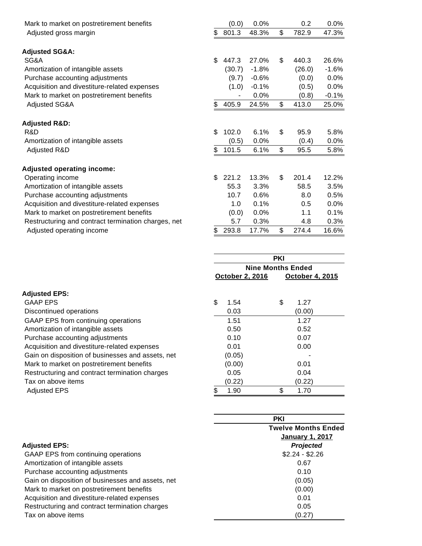| Mark to market on postretirement benefits           | (0.0)       | 0.0%    | 0.2         | 0.0%    |
|-----------------------------------------------------|-------------|---------|-------------|---------|
| Adjusted gross margin                               | \$<br>801.3 | 48.3%   | \$<br>782.9 | 47.3%   |
| <b>Adjusted SG&amp;A:</b>                           |             |         |             |         |
| SG&A                                                | \$<br>447.3 | 27.0%   | \$<br>440.3 | 26.6%   |
| Amortization of intangible assets                   | (30.7)      | $-1.8%$ | (26.0)      | $-1.6%$ |
| Purchase accounting adjustments                     | (9.7)       | $-0.6%$ | (0.0)       | 0.0%    |
| Acquisition and divestiture-related expenses        | (1.0)       | $-0.1%$ | (0.5)       | 0.0%    |
| Mark to market on postretirement benefits           |             | 0.0%    | (0.8)       | $-0.1%$ |
| <b>Adjusted SG&amp;A</b>                            | \$<br>405.9 | 24.5%   | \$<br>413.0 | 25.0%   |
| <b>Adjusted R&amp;D:</b>                            |             |         |             |         |
| R&D                                                 | \$<br>102.0 | 6.1%    | \$<br>95.9  | 5.8%    |
| Amortization of intangible assets                   | (0.5)       | 0.0%    | (0.4)       | 0.0%    |
| Adjusted R&D                                        | \$<br>101.5 | 6.1%    | \$<br>95.5  | 5.8%    |
| <b>Adjusted operating income:</b>                   |             |         |             |         |
| Operating income                                    | \$<br>221.2 | 13.3%   | \$<br>201.4 | 12.2%   |
| Amortization of intangible assets                   | 55.3        | 3.3%    | 58.5        | 3.5%    |
| Purchase accounting adjustments                     | 10.7        | 0.6%    | 8.0         | 0.5%    |
| Acquisition and divestiture-related expenses        | 1.0         | 0.1%    | 0.5         | 0.0%    |
| Mark to market on postretirement benefits           | (0.0)       | 0.0%    | 1.1         | 0.1%    |
| Restructuring and contract termination charges, net | 5.7         | 0.3%    | 4.8         | 0.3%    |
| Adjusted operating income                           | \$<br>293.8 | 17.7%   | \$<br>274.4 | 16.6%   |

|                                                   | <b>PKI</b>               |                        |  |  |  |
|---------------------------------------------------|--------------------------|------------------------|--|--|--|
|                                                   | <b>Nine Months Ended</b> |                        |  |  |  |
|                                                   | <b>October 2, 2016</b>   | <b>October 4, 2015</b> |  |  |  |
| <b>Adjusted EPS:</b>                              |                          |                        |  |  |  |
| <b>GAAP EPS</b>                                   | \$<br>1.54               | \$<br>1.27             |  |  |  |
| Discontinued operations                           | 0.03                     | (0.00)                 |  |  |  |
| GAAP EPS from continuing operations               | 1.51                     | 1.27                   |  |  |  |
| Amortization of intangible assets                 | 0.50                     | 0.52                   |  |  |  |
| Purchase accounting adjustments                   | 0.10                     | 0.07                   |  |  |  |
| Acquisition and divestiture-related expenses      | 0.01                     | 0.00                   |  |  |  |
| Gain on disposition of businesses and assets, net | (0.05)                   |                        |  |  |  |
| Mark to market on postretirement benefits         | (0.00)                   | 0.01                   |  |  |  |
| Restructuring and contract termination charges    | 0.05                     | 0.04                   |  |  |  |
| Tax on above items                                | (0.22)                   | (0.22)                 |  |  |  |
| <b>Adjusted EPS</b>                               | \$<br>1.90               | \$<br>1.70             |  |  |  |

|                                                   | <b>PKI</b>                 |  |  |
|---------------------------------------------------|----------------------------|--|--|
|                                                   | <b>Twelve Months Ended</b> |  |  |
|                                                   | January 1, 2017            |  |  |
| <b>Adjusted EPS:</b>                              | <b>Projected</b>           |  |  |
| GAAP EPS from continuing operations               | $$2.24 - $2.26$            |  |  |
| Amortization of intangible assets                 | 0.67                       |  |  |
| Purchase accounting adjustments                   | 0.10                       |  |  |
| Gain on disposition of businesses and assets, net | (0.05)                     |  |  |
| Mark to market on postretirement benefits         | (0.00)                     |  |  |
| Acquisition and divestiture-related expenses      | 0.01                       |  |  |
| Restructuring and contract termination charges    | 0.05                       |  |  |
| Tax on above items                                | (0.27)                     |  |  |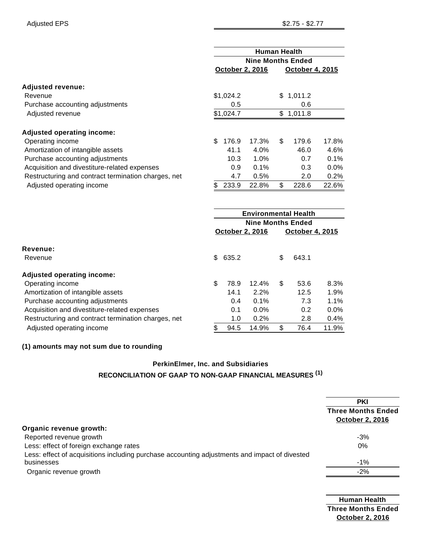|                                                     |                          | <b>Human Health</b>      |       |    |                             |       |
|-----------------------------------------------------|--------------------------|--------------------------|-------|----|-----------------------------|-------|
|                                                     |                          | <b>Nine Months Ended</b> |       |    |                             |       |
|                                                     |                          | October 2, 2016          |       |    | October 4, 2015             |       |
| <b>Adjusted revenue:</b>                            |                          |                          |       |    |                             |       |
| Revenue                                             |                          | \$1,024.2                |       | \$ | 1,011.2                     |       |
| Purchase accounting adjustments                     |                          | 0.5                      |       |    | 0.6                         |       |
| Adjusted revenue                                    |                          | \$1,024.7                |       |    | \$1,011.8                   |       |
| <b>Adjusted operating income:</b>                   |                          |                          |       |    |                             |       |
| Operating income                                    | \$                       | 176.9                    | 17.3% | \$ | 179.6                       | 17.8% |
| Amortization of intangible assets                   |                          | 41.1                     | 4.0%  |    | 46.0                        | 4.6%  |
| Purchase accounting adjustments                     |                          | 10.3                     | 1.0%  |    | 0.7                         | 0.1%  |
| Acquisition and divestiture-related expenses        |                          | 0.9                      | 0.1%  |    | 0.3                         | 0.0%  |
| Restructuring and contract termination charges, net |                          | 4.7                      | 0.5%  |    | 2.0                         | 0.2%  |
| Adjusted operating income                           | \$                       | 233.9                    | 22.8% | \$ | 228.6                       | 22.6% |
|                                                     |                          |                          |       |    |                             |       |
|                                                     |                          |                          |       |    | <b>Environmental Health</b> |       |
|                                                     | <b>Nine Months Ended</b> |                          |       |    |                             |       |
|                                                     |                          | October 2, 2016          |       |    | October 4, 2015             |       |
| Revenue:                                            |                          |                          |       |    |                             |       |
| Revenue                                             | \$                       | 635.2                    |       | \$ | 643.1                       |       |
| <b>Adjusted operating income:</b>                   |                          |                          |       |    |                             |       |
| Operating income                                    | \$                       | 78.9                     | 12.4% | \$ | 53.6                        | 8.3%  |
| Amortization of intangible assets                   |                          | 14.1                     | 2.2%  |    | 12.5                        | 1.9%  |
| Purchase accounting adjustments                     |                          | 0.4                      | 0.1%  |    | 7.3                         | 1.1%  |
| Acquisition and divestiture-related expenses        |                          | 0.1                      | 0.0%  |    | 0.2                         | 0.0%  |
| Restructuring and contract termination charges, net |                          | 1.0                      | 0.2%  |    | 2.8                         | 0.4%  |

Adjusted operating income  $$ 94.5 14.9\% $ 76.4 11.9\%$ 

# **(1) amounts may not sum due to rounding**

# **PerkinElmer, Inc. and Subsidiaries RECONCILIATION OF GAAP TO NON-GAAP FINANCIAL MEASURES (1)**

|                                                                                               | <b>PKI</b><br><b>Three Months Ended</b><br><b>October 2, 2016</b> |
|-----------------------------------------------------------------------------------------------|-------------------------------------------------------------------|
| Organic revenue growth:                                                                       |                                                                   |
| Reported revenue growth                                                                       | $-3%$                                                             |
| Less: effect of foreign exchange rates                                                        | $0\%$                                                             |
| Less: effect of acquisitions including purchase accounting adjustments and impact of divested |                                                                   |
| businesses                                                                                    | $-1%$                                                             |
| Organic revenue growth                                                                        | $-2%$                                                             |

**Human Health Three Months Ended October 2, 2016**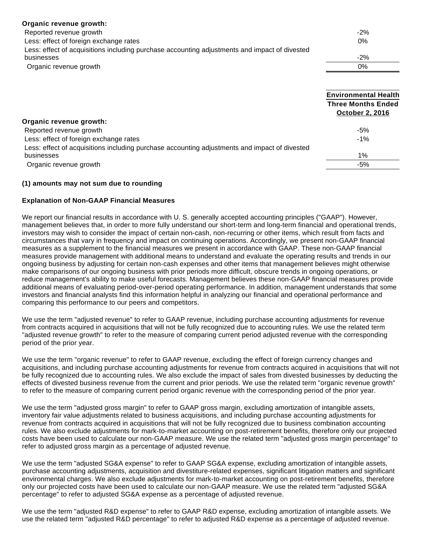| Organic revenue growth:                                                                       |       |
|-----------------------------------------------------------------------------------------------|-------|
| Reported revenue growth                                                                       | $-2%$ |
| Less: effect of foreign exchange rates                                                        | $0\%$ |
| Less: effect of acquisitions including purchase accounting adjustments and impact of divested |       |
| businesses                                                                                    | $-2%$ |
| Organic revenue growth                                                                        | $0\%$ |
|                                                                                               |       |

|                                                                                               | <b>Environmental Health</b>                         |  |
|-----------------------------------------------------------------------------------------------|-----------------------------------------------------|--|
|                                                                                               | <b>Three Months Ended</b><br><b>October 2, 2016</b> |  |
| Organic revenue growth:                                                                       |                                                     |  |
| Reported revenue growth                                                                       | $-5%$                                               |  |
| Less: effect of foreign exchange rates                                                        | $-1%$                                               |  |
| Less: effect of acquisitions including purchase accounting adjustments and impact of divested |                                                     |  |
| businesses                                                                                    | 1%                                                  |  |
| Organic revenue growth                                                                        | -5%                                                 |  |
|                                                                                               |                                                     |  |

#### **(1) amounts may not sum due to rounding**

#### **Explanation of Non-GAAP Financial Measures**

We report our financial results in accordance with U. S. generally accepted accounting principles ("GAAP"). However, management believes that, in order to more fully understand our short-term and long-term financial and operational trends, investors may wish to consider the impact of certain non-cash, non-recurring or other items, which result from facts and circumstances that vary in frequency and impact on continuing operations. Accordingly, we present non-GAAP financial measures as a supplement to the financial measures we present in accordance with GAAP. These non-GAAP financial measures provide management with additional means to understand and evaluate the operating results and trends in our ongoing business by adjusting for certain non-cash expenses and other items that management believes might otherwise make comparisons of our ongoing business with prior periods more difficult, obscure trends in ongoing operations, or reduce management's ability to make useful forecasts. Management believes these non-GAAP financial measures provide additional means of evaluating period-over-period operating performance. In addition, management understands that some investors and financial analysts find this information helpful in analyzing our financial and operational performance and comparing this performance to our peers and competitors.

We use the term "adjusted revenue" to refer to GAAP revenue, including purchase accounting adjustments for revenue from contracts acquired in acquisitions that will not be fully recognized due to accounting rules. We use the related term "adjusted revenue growth" to refer to the measure of comparing current period adjusted revenue with the corresponding period of the prior year.

We use the term "organic revenue" to refer to GAAP revenue, excluding the effect of foreign currency changes and acquisitions, and including purchase accounting adjustments for revenue from contracts acquired in acquisitions that will not be fully recognized due to accounting rules. We also exclude the impact of sales from divested businesses by deducting the effects of divested business revenue from the current and prior periods. We use the related term "organic revenue growth" to refer to the measure of comparing current period organic revenue with the corresponding period of the prior year.

We use the term "adjusted gross margin" to refer to GAAP gross margin, excluding amortization of intangible assets, inventory fair value adjustments related to business acquisitions, and including purchase accounting adjustments for revenue from contracts acquired in acquisitions that will not be fully recognized due to business combination accounting rules. We also exclude adjustments for mark-to-market accounting on post-retirement benefits, therefore only our projected costs have been used to calculate our non-GAAP measure. We use the related term "adjusted gross margin percentage" to refer to adjusted gross margin as a percentage of adjusted revenue.

We use the term "adjusted SG&A expense" to refer to GAAP SG&A expense, excluding amortization of intangible assets, purchase accounting adjustments, acquisition and divestiture-related expenses, significant litigation matters and significant environmental charges. We also exclude adjustments for mark-to-market accounting on post-retirement benefits, therefore only our projected costs have been used to calculate our non-GAAP measure. We use the related term "adjusted SG&A percentage" to refer to adjusted SG&A expense as a percentage of adjusted revenue.

We use the term "adjusted R&D expense" to refer to GAAP R&D expense, excluding amortization of intangible assets. We use the related term "adjusted R&D percentage" to refer to adjusted R&D expense as a percentage of adjusted revenue.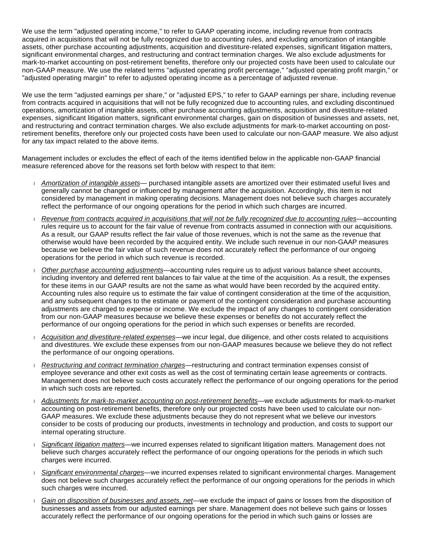We use the term "adjusted operating income," to refer to GAAP operating income, including revenue from contracts acquired in acquisitions that will not be fully recognized due to accounting rules, and excluding amortization of intangible assets, other purchase accounting adjustments, acquisition and divestiture-related expenses, significant litigation matters, significant environmental charges, and restructuring and contract termination charges. We also exclude adjustments for mark-to-market accounting on post-retirement benefits, therefore only our projected costs have been used to calculate our non-GAAP measure. We use the related terms "adjusted operating profit percentage," "adjusted operating profit margin," or "adjusted operating margin" to refer to adjusted operating income as a percentage of adjusted revenue.

We use the term "adjusted earnings per share," or "adjusted EPS," to refer to GAAP earnings per share, including revenue from contracts acquired in acquisitions that will not be fully recognized due to accounting rules, and excluding discontinued operations, amortization of intangible assets, other purchase accounting adjustments, acquisition and divestiture-related expenses, significant litigation matters, significant environmental charges, gain on disposition of businesses and assets, net, and restructuring and contract termination charges. We also exclude adjustments for mark-to-market accounting on postretirement benefits, therefore only our projected costs have been used to calculate our non-GAAP measure. We also adjust for any tax impact related to the above items.

Management includes or excludes the effect of each of the items identified below in the applicable non-GAAP financial measure referenced above for the reasons set forth below with respect to that item:

- Amortization of intangible assets— purchased intangible assets are amortized over their estimated useful lives and generally cannot be changed or influenced by management after the acquisition. Accordingly, this item is not considered by management in making operating decisions. Management does not believe such charges accurately reflect the performance of our ongoing operations for the period in which such charges are incurred.
- Revenue from contracts acquired in acquisitions that will not be fully recognized due to accounting rules—accounting rules require us to account for the fair value of revenue from contracts assumed in connection with our acquisitions. As a result, our GAAP results reflect the fair value of those revenues, which is not the same as the revenue that otherwise would have been recorded by the acquired entity. We include such revenue in our non-GAAP measures because we believe the fair value of such revenue does not accurately reflect the performance of our ongoing operations for the period in which such revenue is recorded.
- Other purchase accounting adjustments—accounting rules require us to adjust various balance sheet accounts, including inventory and deferred rent balances to fair value at the time of the acquisition. As a result, the expenses for these items in our GAAP results are not the same as what would have been recorded by the acquired entity. Accounting rules also require us to estimate the fair value of contingent consideration at the time of the acquisition, and any subsequent changes to the estimate or payment of the contingent consideration and purchase accounting adjustments are charged to expense or income. We exclude the impact of any changes to contingent consideration from our non-GAAP measures because we believe these expenses or benefits do not accurately reflect the performance of our ongoing operations for the period in which such expenses or benefits are recorded.
- Acquisition and divestiture-related expenses—we incur legal, due diligence, and other costs related to acquisitions and divestitures. We exclude these expenses from our non-GAAP measures because we believe they do not reflect the performance of our ongoing operations.
- Restructuring and contract termination charges—restructuring and contract termination expenses consist of employee severance and other exit costs as well as the cost of terminating certain lease agreements or contracts. Management does not believe such costs accurately reflect the performance of our ongoing operations for the period in which such costs are reported.
- Adjustments for mark-to-market accounting on post-retirement benefits—we exclude adjustments for mark-to-market accounting on post-retirement benefits, therefore only our projected costs have been used to calculate our non-GAAP measures. We exclude these adjustments because they do not represent what we believe our investors consider to be costs of producing our products, investments in technology and production, and costs to support our internal operating structure.
- Significant litigation matters—we incurred expenses related to significant litigation matters. Management does not believe such charges accurately reflect the performance of our ongoing operations for the periods in which such charges were incurred.
- Significant environmental charges—we incurred expenses related to significant environmental charges. Management does not believe such charges accurately reflect the performance of our ongoing operations for the periods in which such charges were incurred.
- Gain on disposition of businesses and assets, net—we exclude the impact of gains or losses from the disposition of businesses and assets from our adjusted earnings per share. Management does not believe such gains or losses accurately reflect the performance of our ongoing operations for the period in which such gains or losses are